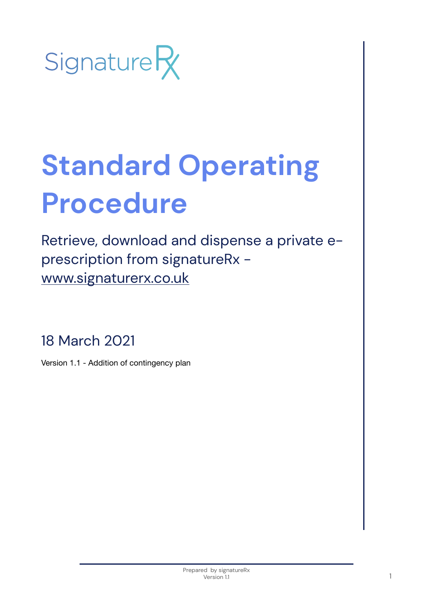

# **Standard Operating Procedure**

Retrieve, download and dispense a private eprescription from signatureRx [www.signaturerx.co.uk](http://www.signaturerx.co.uk)

18 March 2021

Version 1.1 - Addition of contingency plan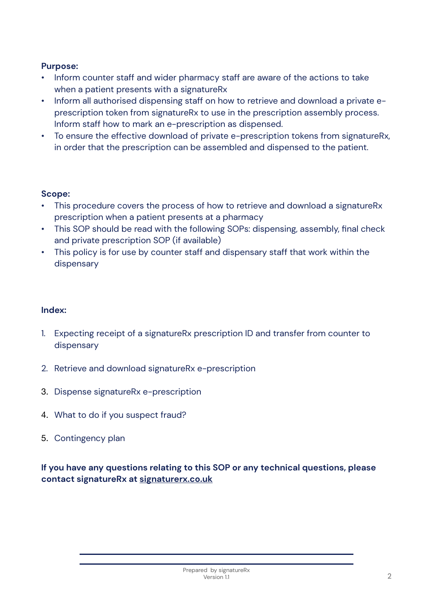### **Purpose:**

- Inform counter staff and wider pharmacy staff are aware of the actions to take when a patient presents with a signatureRx
- Inform all authorised dispensing staff on how to retrieve and download a private eprescription token from signatureRx to use in the prescription assembly process. Inform staff how to mark an e-prescription as dispensed.
- To ensure the effective download of private e-prescription tokens from signatureRx, in order that the prescription can be assembled and dispensed to the patient.

## **Scope:**

- This procedure covers the process of how to retrieve and download a signatureRx prescription when a patient presents at a pharmacy
- This SOP should be read with the following SOPs: dispensing, assembly, final check and private prescription SOP (if available)
- This policy is for use by counter staff and dispensary staff that work within the dispensary

#### **Index:**

- 1. Expecting receipt of a signatureRx prescription ID and transfer from counter to dispensary
- 2. Retrieve and download signatureRx e-prescription
- 3. Dispense signatureRx e-prescription
- 4. What to do if you suspect fraud?
- 5. Contingency plan

## **If you have any questions relating to this SOP or any technical questions, please contact signatureRx at [signaturerx.co.uk](http://signaturerx.co.uk)**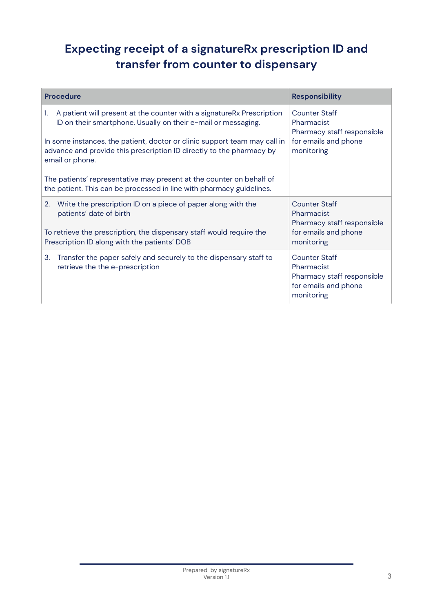# **Expecting receipt of a signatureRx prescription ID and transfer from counter to dispensary**

| <b>Procedure</b>                                                                                                                                                     | <b>Responsibility</b>                                                                                  |
|----------------------------------------------------------------------------------------------------------------------------------------------------------------------|--------------------------------------------------------------------------------------------------------|
| A patient will present at the counter with a signatureRx Prescription<br>1.<br>ID on their smartphone. Usually on their e-mail or messaging.                         | Counter Staff<br>Pharmacist<br>Pharmacy staff responsible                                              |
| In some instances, the patient, doctor or clinic support team may call in<br>advance and provide this prescription ID directly to the pharmacy by<br>email or phone. | for emails and phone<br>monitoring                                                                     |
| The patients' representative may present at the counter on behalf of<br>the patient. This can be processed in line with pharmacy guidelines.                         |                                                                                                        |
| Write the prescription ID on a piece of paper along with the<br>2.<br>patients' date of birth                                                                        | <b>Counter Staff</b><br>Pharmacist<br>Pharmacy staff responsible                                       |
| To retrieve the prescription, the dispensary staff would require the<br>Prescription ID along with the patients' DOB                                                 | for emails and phone<br>monitoring                                                                     |
| Transfer the paper safely and securely to the dispensary staff to<br>3.<br>retrieve the the e-prescription                                                           | <b>Counter Staff</b><br>Pharmacist<br>Pharmacy staff responsible<br>for emails and phone<br>monitoring |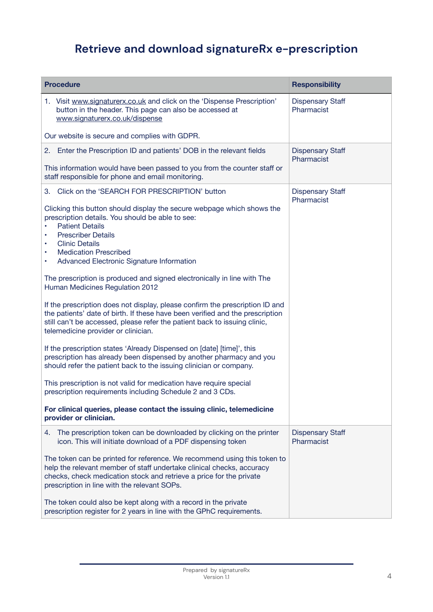# **Retrieve and download signatureRx e-prescription**

| <b>Procedure</b>                                                                                                                                                                                                                                                                                                                                                                                                                                                                                                                                                                                                                                                                                                                                                                                                                                                                                                                                                                                                                                                                                                                                                                                   | <b>Responsibility</b>                 |
|----------------------------------------------------------------------------------------------------------------------------------------------------------------------------------------------------------------------------------------------------------------------------------------------------------------------------------------------------------------------------------------------------------------------------------------------------------------------------------------------------------------------------------------------------------------------------------------------------------------------------------------------------------------------------------------------------------------------------------------------------------------------------------------------------------------------------------------------------------------------------------------------------------------------------------------------------------------------------------------------------------------------------------------------------------------------------------------------------------------------------------------------------------------------------------------------------|---------------------------------------|
| 1. Visit www.signaturerx.co.uk and click on the 'Dispense Prescription'<br>button in the header. This page can also be accessed at<br>www.signaturerx.co.uk/dispense                                                                                                                                                                                                                                                                                                                                                                                                                                                                                                                                                                                                                                                                                                                                                                                                                                                                                                                                                                                                                               | <b>Dispensary Staff</b><br>Pharmacist |
| Our website is secure and complies with GDPR.                                                                                                                                                                                                                                                                                                                                                                                                                                                                                                                                                                                                                                                                                                                                                                                                                                                                                                                                                                                                                                                                                                                                                      |                                       |
| 2. Enter the Prescription ID and patients' DOB in the relevant fields<br>This information would have been passed to you from the counter staff or<br>staff responsible for phone and email monitoring.                                                                                                                                                                                                                                                                                                                                                                                                                                                                                                                                                                                                                                                                                                                                                                                                                                                                                                                                                                                             | <b>Dispensary Staff</b><br>Pharmacist |
| Click on the 'SEARCH FOR PRESCRIPTION' button<br>3.<br>Clicking this button should display the secure webpage which shows the<br>prescription details. You should be able to see:<br><b>Patient Details</b><br><b>Prescriber Details</b><br><b>Clinic Details</b><br>٠<br><b>Medication Prescribed</b><br>٠<br>Advanced Electronic Signature Information<br>٠<br>The prescription is produced and signed electronically in line with The<br>Human Medicines Regulation 2012<br>If the prescription does not display, please confirm the prescription ID and<br>the patients' date of birth. If these have been verified and the prescription<br>still can't be accessed, please refer the patient back to issuing clinic,<br>telemedicine provider or clinician.<br>If the prescription states 'Already Dispensed on [date] [time]', this<br>prescription has already been dispensed by another pharmacy and you<br>should refer the patient back to the issuing clinician or company.<br>This prescription is not valid for medication have require special<br>prescription requirements including Schedule 2 and 3 CDs.<br>For clinical queries, please contact the issuing clinic, telemedicine | <b>Dispensary Staff</b><br>Pharmacist |
| provider or clinician.                                                                                                                                                                                                                                                                                                                                                                                                                                                                                                                                                                                                                                                                                                                                                                                                                                                                                                                                                                                                                                                                                                                                                                             |                                       |
| The prescription token can be downloaded by clicking on the printer<br>4.<br>icon. This will initiate download of a PDF dispensing token<br>The token can be printed for reference. We recommend using this token to<br>help the relevant member of staff undertake clinical checks, accuracy<br>checks, check medication stock and retrieve a price for the private<br>prescription in line with the relevant SOPs.<br>The token could also be kept along with a record in the private<br>prescription register for 2 years in line with the GPhC requirements.                                                                                                                                                                                                                                                                                                                                                                                                                                                                                                                                                                                                                                   | <b>Dispensary Staff</b><br>Pharmacist |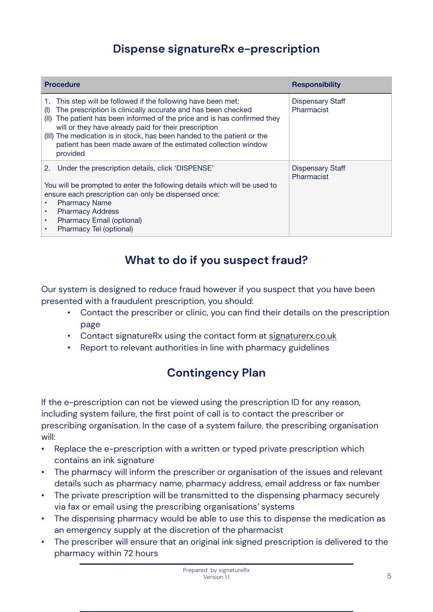## **Dispense signatureRx e-prescription**

| <b>Procedure</b>                                                                                                                                                                                                                                                                                                                                                                                                                    | <b>Responsibility</b>                 |
|-------------------------------------------------------------------------------------------------------------------------------------------------------------------------------------------------------------------------------------------------------------------------------------------------------------------------------------------------------------------------------------------------------------------------------------|---------------------------------------|
| This step will be followed if the following have been met:<br>The prescription is clinically accurate and has been checked<br>(1)<br>The patient has been informed of the price and is has confirmed they<br>(II)<br>will or they have already paid for their prescription<br>(III) The medication is in stock, has been handed to the patient or the<br>patient has been made aware of the estimated collection window<br>provided | <b>Dispensary Staff</b><br>Pharmacist |
| Under the prescription details, click 'DISPENSE'<br>2.<br>You will be prompted to enter the following details which will be used to<br>ensure each prescription can only be dispensed once:<br><b>Pharmacy Name</b><br><b>Pharmacy Address</b><br>Pharmacy Email (optional)<br>Pharmacy Tel (optional)                                                                                                                              | <b>Dispensary Staff</b><br>Pharmacist |

## **What to do if you suspect fraud?**

Our system is designed to reduce fraud however if you suspect that you have been presented with a fraudulent prescription, you should:

- Contact the prescriber or clinic, you can find their details on the prescription page
- Contact signatureRx using the contact form at [signaturerx.co.uk](http://signaturerx.co.uk)
- Report to relevant authorities in line with pharmacy guidelines

# **Contingency Plan**

If the e-prescription can not be viewed using the prescription ID for any reason, including system failure, the first point of call is to contact the prescriber or prescribing organisation. In the case of a system failure, the prescribing organisation will:

- Replace the e-prescription with a written or typed private prescription which contains an ink signature
- The pharmacy will inform the prescriber or organisation of the issues and relevant details such as pharmacy name, pharmacy address, email address or fax number
- The private prescription will be transmitted to the dispensing pharmacy securely via fax or email using the prescribing organisations' systems
- The dispensing pharmacy would be able to use this to dispense the medication as an emergency supply at the discretion of the pharmacist
- The prescriber will ensure that an original ink signed prescription is delivered to the pharmacy within 72 hours